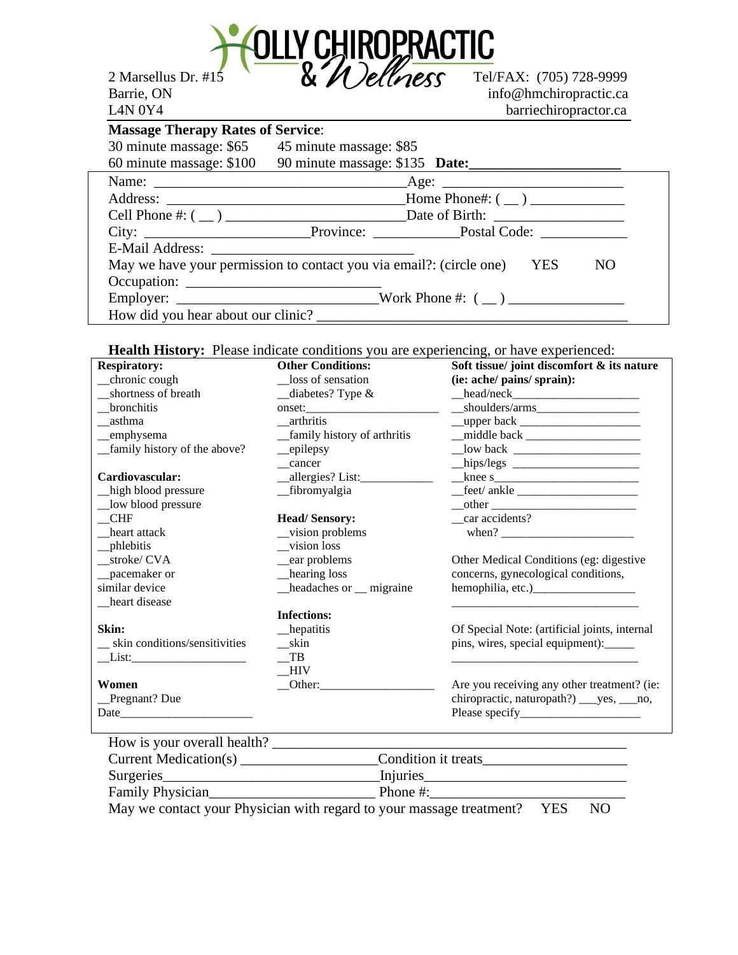

Barrie, ON info@hmchiropractic.ca L4N 0Y4 barriechiropractor.ca

| <b>Massage Therapy Rates of Service:</b>                                      |                                                                                    |  |  |  |
|-------------------------------------------------------------------------------|------------------------------------------------------------------------------------|--|--|--|
| 30 minute massage: \$65 45 minute massage: \$85                               |                                                                                    |  |  |  |
|                                                                               | 60 minute massage: \$100 90 minute massage: \$135 Date: __________________________ |  |  |  |
|                                                                               |                                                                                    |  |  |  |
|                                                                               |                                                                                    |  |  |  |
|                                                                               |                                                                                    |  |  |  |
|                                                                               |                                                                                    |  |  |  |
|                                                                               |                                                                                    |  |  |  |
| May we have your permission to contact you via email?: (circle one) YES<br>NO |                                                                                    |  |  |  |
|                                                                               |                                                                                    |  |  |  |
|                                                                               |                                                                                    |  |  |  |
|                                                                               |                                                                                    |  |  |  |

## Health History: Please indicate conditions you are experiencing, or have experienced:

| <b>Respiratory:</b>           | <b>Other Conditions:</b>      | Soft tissue/ joint discomfort & its nature    |
|-------------------------------|-------------------------------|-----------------------------------------------|
| _chronic cough                | loss of sensation             | (ie: ache/ pains/ sprain):                    |
| shortness of breath           | diabetes? Type &              | $\text{head}/\text{neck}$                     |
| <b>bronchitis</b>             |                               | $-$ shoulders/arms $-$                        |
| asthma                        | arthritis                     |                                               |
| _emphysema                    | _family history of arthritis  |                                               |
| _family history of the above? | $\equiv$ epilepsy             |                                               |
|                               | cancer                        | hips/legs $\frac{1}{2}$                       |
| Cardiovascular:               | __allergies? List:___________ | knee s                                        |
| high blood pressure           | _fibromyalgia                 | feet/ankle                                    |
| low blood pressure            |                               |                                               |
| <b>CHF</b>                    | <b>Head/Sensory:</b>          | car accidents?                                |
| heart attack                  | _vision problems              |                                               |
| _phlebitis                    | vision loss                   |                                               |
| _stroke/ CVA                  | _ear problems                 | Other Medical Conditions (eg: digestive       |
| _pacemaker or                 | _hearing loss                 | concerns, gynecological conditions,           |
| similar device                | _headaches or _ migraine      |                                               |
| heart disease                 |                               |                                               |
|                               | <b>Infections:</b>            |                                               |
| Skin:                         | _hepatitis                    | Of Special Note: (artificial joints, internal |
| skin conditions/sensitivities | skin                          | pins, wires, special equipment):              |
|                               | TB                            |                                               |
|                               | HIV                           |                                               |
| Women                         | Other:                        | Are you receiving any other treatment? (ie:   |
| _Pregnant? Due                |                               | chiropractic, naturopath?) ___yes, __no,      |
|                               |                               |                                               |
|                               |                               |                                               |
| How is your overall health?   |                               |                                               |

| Current Medication(s) | Condition it treats                                                  |      |     |  |
|-----------------------|----------------------------------------------------------------------|------|-----|--|
| Surgeries             | Injuries                                                             |      |     |  |
| Family Physician      | Phone $\#$ :                                                         |      |     |  |
|                       | May we contact your Physician with regard to your massage treatment? | YES. | NO. |  |